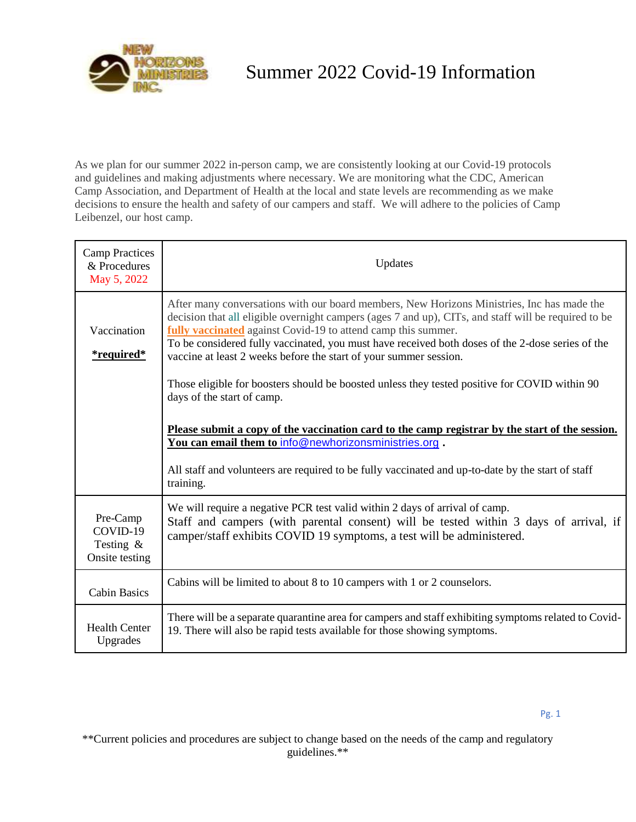

## Summer 2022 Covid-19 Information

As we plan for our summer 2022 in-person camp, we are consistently looking at our Covid-19 protocols and guidelines and making adjustments where necessary. We are monitoring what the CDC, American Camp Association, and Department of Health at the local and state levels are recommending as we make decisions to ensure the health and safety of our campers and staff. We will adhere to the policies of Camp Leibenzel, our host camp.

| <b>Camp Practices</b><br>& Procedures<br>May 5, 2022   | Updates                                                                                                                                                                                                                                                                                                                                                                                                                                      |
|--------------------------------------------------------|----------------------------------------------------------------------------------------------------------------------------------------------------------------------------------------------------------------------------------------------------------------------------------------------------------------------------------------------------------------------------------------------------------------------------------------------|
| Vaccination<br><i>*required*</i>                       | After many conversations with our board members, New Horizons Ministries, Inc has made the<br>decision that all eligible overnight campers (ages 7 and up), CITs, and staff will be required to be<br>fully vaccinated against Covid-19 to attend camp this summer.<br>To be considered fully vaccinated, you must have received both doses of the 2-dose series of the<br>vaccine at least 2 weeks before the start of your summer session. |
|                                                        | Those eligible for boosters should be boosted unless they tested positive for COVID within 90<br>days of the start of camp.                                                                                                                                                                                                                                                                                                                  |
|                                                        | Please submit a copy of the vaccination card to the camp registrar by the start of the session.<br>You can email them to info@newhorizonsministries.org.                                                                                                                                                                                                                                                                                     |
|                                                        | All staff and volunteers are required to be fully vaccinated and up-to-date by the start of staff<br>training.                                                                                                                                                                                                                                                                                                                               |
| Pre-Camp<br>COVID-19<br>Testing $\&$<br>Onsite testing | We will require a negative PCR test valid within 2 days of arrival of camp.<br>Staff and campers (with parental consent) will be tested within 3 days of arrival, if<br>camper/staff exhibits COVID 19 symptoms, a test will be administered.                                                                                                                                                                                                |
| <b>Cabin Basics</b>                                    | Cabins will be limited to about 8 to 10 campers with 1 or 2 counselors.                                                                                                                                                                                                                                                                                                                                                                      |
| <b>Health Center</b><br>Upgrades                       | There will be a separate quarantine area for campers and staff exhibiting symptoms related to Covid-<br>19. There will also be rapid tests available for those showing symptoms.                                                                                                                                                                                                                                                             |